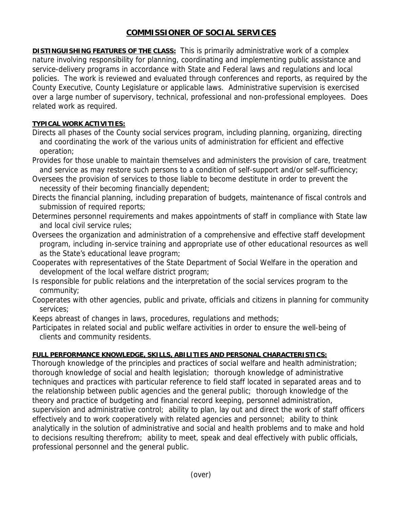## **COMMISSIONER OF SOCIAL SERVICES**

**DISTINGUISHING FEATURES OF THE CLASS:** This is primarily administrative work of a complex nature involving responsibility for planning, coordinating and implementing public assistance and service-delivery programs in accordance with State and Federal laws and regulations and local policies. The work is reviewed and evaluated through conferences and reports, as required by the County Executive, County Legislature or applicable laws. Administrative supervision is exercised over a large number of supervisory, technical, professional and non-professional employees. Does related work as required.

## **TYPICAL WORK ACTIVITIES:**

- Directs all phases of the County social services program, including planning, organizing, directing and coordinating the work of the various units of administration for efficient and effective operation;
- Provides for those unable to maintain themselves and administers the provision of care, treatment and service as may restore such persons to a condition of self-support and/or self-sufficiency;
- Oversees the provision of services to those liable to become destitute in order to prevent the necessity of their becoming financially dependent;
- Directs the financial planning, including preparation of budgets, maintenance of fiscal controls and submission of required reports;
- Determines personnel requirements and makes appointments of staff in compliance with State law and local civil service rules;
- Oversees the organization and administration of a comprehensive and effective staff development program, including in-service training and appropriate use of other educational resources as well as the State's educational leave program;
- Cooperates with representatives of the State Department of Social Welfare in the operation and development of the local welfare district program;
- Is responsible for public relations and the interpretation of the social services program to the community;
- Cooperates with other agencies, public and private, officials and citizens in planning for community services;

Keeps abreast of changes in laws, procedures, regulations and methods;

Participates in related social and public welfare activities in order to ensure the well-being of clients and community residents.

## **FULL PERFORMANCE KNOWLEDGE, SKILLS, ABILITIES AND PERSONAL CHARACTERISTICS:**

Thorough knowledge of the principles and practices of social welfare and health administration; thorough knowledge of social and health legislation; thorough knowledge of administrative techniques and practices with particular reference to field staff located in separated areas and to the relationship between public agencies and the general public; thorough knowledge of the theory and practice of budgeting and financial record keeping, personnel administration, supervision and administrative control; ability to plan, lay out and direct the work of staff officers effectively and to work cooperatively with related agencies and personnel; ability to think analytically in the solution of administrative and social and health problems and to make and hold to decisions resulting therefrom; ability to meet, speak and deal effectively with public officials, professional personnel and the general public.